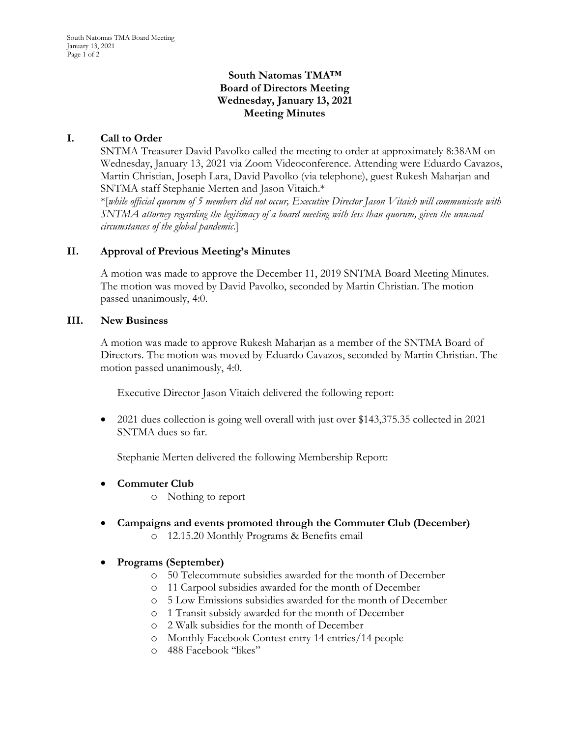## **South Natomas TMA™ Board of Directors Meeting Wednesday, January 13, 2021 Meeting Minutes**

# **I. Call to Order**

SNTMA Treasurer David Pavolko called the meeting to order at approximately 8:38AM on Wednesday, January 13, 2021 via Zoom Videoconference. Attending were Eduardo Cavazos, Martin Christian, Joseph Lara, David Pavolko (via telephone), guest Rukesh Maharjan and SNTMA staff Stephanie Merten and Jason Vitaich.\*

\*[*while official quorum of 5 members did not occur, Executive Director Jason Vitaich will communicate with SNTMA attorney regarding the legitimacy of a board meeting with less than quorum, given the unusual circumstances of the global pandemic*.]

## **II. Approval of Previous Meeting's Minutes**

A motion was made to approve the December 11, 2019 SNTMA Board Meeting Minutes. The motion was moved by David Pavolko, seconded by Martin Christian. The motion passed unanimously, 4:0.

#### **III. New Business**

A motion was made to approve Rukesh Maharjan as a member of the SNTMA Board of Directors. The motion was moved by Eduardo Cavazos, seconded by Martin Christian. The motion passed unanimously, 4:0.

Executive Director Jason Vitaich delivered the following report:

• 2021 dues collection is going well overall with just over \$143,375.35 collected in 2021 SNTMA dues so far.

Stephanie Merten delivered the following Membership Report:

- **Commuter Club**
	- o Nothing to report
- **Campaigns and events promoted through the Commuter Club (December)** o 12.15.20 Monthly Programs & Benefits email
- **Programs (September)**
	- o 50 Telecommute subsidies awarded for the month of December
	- o 11 Carpool subsidies awarded for the month of December
	- o 5 Low Emissions subsidies awarded for the month of December
	- o 1 Transit subsidy awarded for the month of December
	- o 2 Walk subsidies for the month of December
	- o Monthly Facebook Contest entry 14 entries/14 people
	- o 488 Facebook "likes"